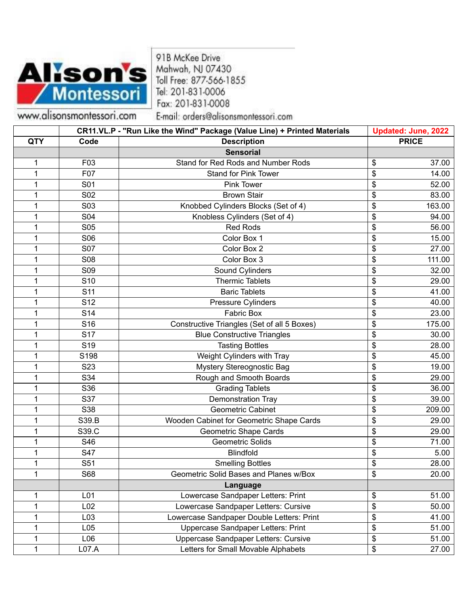

www.alisonsmontessori.com

91B McKee Drive Mahwah, NJ 07430 Toll Free: 877-566-1855 Tel: 201-831-0006 Fax: 201-831-0008

E-mail: orders@alisonsmontessori.com

|            |                 | CR11.VL.P - "Run Like the Wind" Package (Value Line) + Printed Materials | Updated: June, 2022 |       |
|------------|-----------------|--------------------------------------------------------------------------|---------------------|-------|
| <b>QTY</b> | Code            | <b>Description</b>                                                       | <b>PRICE</b>        |       |
|            |                 | <b>Sensorial</b>                                                         |                     |       |
| 1          | F03             | Stand for Red Rods and Number Rods                                       | \$                  | 37.00 |
| 1          | F07             | <b>Stand for Pink Tower</b>                                              | \$                  | 14.00 |
| 1          | S01             | Pink Tower                                                               | \$                  | 52.00 |
| 1          | S02             | <b>Brown Stair</b>                                                       | \$                  | 83.00 |
| 1          | S03             | Knobbed Cylinders Blocks (Set of 4)                                      | \$<br>163.00        |       |
| 1          | S04             | Knobless Cylinders (Set of 4)                                            | \$                  | 94.00 |
| 1          | S05             | <b>Red Rods</b>                                                          | \$                  | 56.00 |
| 1          | S06             | Color Box 1                                                              | \$                  | 15.00 |
| 1          | S07             | Color Box 2                                                              | \$                  | 27.00 |
| 1          | S08             | Color Box 3                                                              | 111.00<br>\$        |       |
| 1          | S09             | Sound Cylinders                                                          | \$                  | 32.00 |
| 1          | S <sub>10</sub> | <b>Thermic Tablets</b>                                                   | \$                  | 29.00 |
| 1          | S <sub>11</sub> | <b>Baric Tablets</b>                                                     | \$                  | 41.00 |
| 1          | S <sub>12</sub> | Pressure Cylinders                                                       | \$                  | 40.00 |
| 1          | S14             | <b>Fabric Box</b>                                                        | \$                  | 23.00 |
| 1          | S <sub>16</sub> | Constructive Triangles (Set of all 5 Boxes)                              | \$<br>175.00        |       |
| 1          | S <sub>17</sub> | <b>Blue Constructive Triangles</b>                                       | \$                  | 30.00 |
| 1          | S <sub>19</sub> | <b>Tasting Bottles</b>                                                   | \$                  | 28.00 |
| 1          | S198            | Weight Cylinders with Tray                                               | \$                  | 45.00 |
| 1          | S23             | Mystery Stereognostic Bag                                                | \$                  | 19.00 |
| 1          | S34             | Rough and Smooth Boards                                                  | \$                  | 29.00 |
| 1          | S36             | <b>Grading Tablets</b>                                                   | \$                  | 36.00 |
| 1          | S37             | <b>Demonstration Tray</b>                                                | \$                  | 39.00 |
| 1          | S38             | <b>Geometric Cabinet</b>                                                 | \$<br>209.00        |       |
| 1          | S39.B           | Wooden Cabinet for Geometric Shape Cards                                 | \$                  | 29.00 |
| 1          | S39.C           | <b>Geometric Shape Cards</b>                                             | \$                  | 29.00 |
| 1          | S46             | <b>Geometric Solids</b>                                                  | \$                  | 71.00 |
| 1          | S47             | <b>Blindfold</b>                                                         | \$                  | 5.00  |
| 1          | S51             | <b>Smelling Bottles</b>                                                  | \$                  | 28.00 |
| 1          | S68             | Geometric Solid Bases and Planes w/Box                                   | \$                  | 20.00 |
|            |                 | Language                                                                 |                     |       |
| 1          | L01             | Lowercase Sandpaper Letters: Print                                       | \$                  | 51.00 |
| 1          | L02             | Lowercase Sandpaper Letters: Cursive                                     | \$                  | 50.00 |
| 1          | L03             | Lowercase Sandpaper Double Letters: Print                                | \$                  | 41.00 |
| 1          | L05             | Uppercase Sandpaper Letters: Print                                       | \$                  | 51.00 |
| 1          | L06             | Uppercase Sandpaper Letters: Cursive                                     | \$                  | 51.00 |
| 1          | L07.A           | Letters for Small Movable Alphabets                                      | \$                  | 27.00 |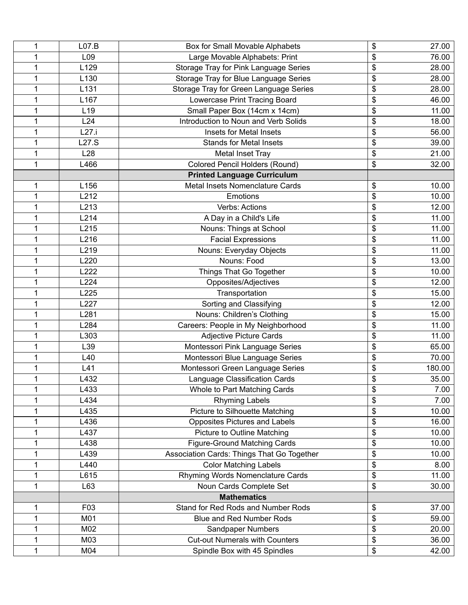| L <sub>09</sub><br>Large Movable Alphabets: Print<br>\$<br>76.00<br>1<br>L129<br>\$<br>Storage Tray for Pink Language Series<br>28.00<br>1<br>\$<br>1<br>L130<br>Storage Tray for Blue Language Series<br>28.00<br>Storage Tray for Green Language Series<br>1<br>L131<br>\$<br>28.00<br>\$<br>1<br>L167<br>Lowercase Print Tracing Board<br>46.00<br>Small Paper Box (14cm x 14cm)<br>\$<br>1<br>L <sub>19</sub><br>11.00<br>Introduction to Noun and Verb Solids<br>1<br>L24<br>\$<br>18.00<br>\$<br>1<br>L27.i<br>56.00<br>Insets for Metal Insets<br>\$<br>1<br>L27.S<br><b>Stands for Metal Insets</b><br>39.00<br>L <sub>28</sub><br>\$<br>21.00<br>1<br>Metal Inset Tray<br>\$<br>1<br><b>Colored Pencil Holders (Round)</b><br>L466<br>32.00<br><b>Printed Language Curriculum</b><br>Metal Insets Nomenclature Cards<br>L156<br>10.00<br>1<br>\$<br>\$<br>1<br>L212<br>Emotions<br>10.00<br>L213<br>Verbs: Actions<br>12.00<br>1<br>\$<br>A Day in a Child's Life<br>\$<br>11.00<br>1<br>L214<br>\$<br>Nouns: Things at School<br>1<br>L215<br>11.00<br><b>Facial Expressions</b><br>1<br>L216<br>\$<br>11.00<br>Nouns: Everyday Objects<br>\$<br>11.00<br>L219<br>1<br>Nouns: Food<br>\$<br>1<br>L220<br>13.00<br>Things That Go Together<br>1<br>L222<br>\$<br>10.00<br>Opposites/Adjectives<br>\$<br>1<br>L224<br>12.00<br>L225<br>Transportation<br>\$<br>15.00<br>1<br>Sorting and Classifying<br>L227<br>\$<br>12.00<br>1<br>Nouns: Children's Clothing<br>\$<br>15.00<br>L281<br>1<br>L284<br>Careers: People in My Neighborhood<br>\$<br>11.00<br>1<br><b>Adjective Picture Cards</b><br>\$<br>L303<br>11.00<br>Montessori Pink Language Series<br>\$<br>1<br>L39<br>65.00<br>\$<br>Montessori Blue Language Series<br>70.00<br>1<br>L <sub>40</sub><br>\$<br>Montessori Green Language Series<br>180.00<br>L41<br>Language Classification Cards<br>\$<br>35.00<br>L432<br>1<br>L433<br>\$<br>7.00<br>1<br>Whole to Part Matching Cards<br>1<br>L434<br>\$<br><b>Rhyming Labels</b><br>7.00<br>Picture to Silhouette Matching<br>L435<br>\$<br>10.00<br>1<br>\$<br>1<br>L436<br><b>Opposites Pictures and Labels</b><br>16.00<br>\$<br>1<br>L437<br>Picture to Outline Matching<br>10.00<br>\$<br>1<br>L438<br><b>Figure-Ground Matching Cards</b><br>10.00<br>\$<br>L439<br>Association Cards: Things That Go Together<br>10.00<br>1<br>\$<br>1<br>L440<br><b>Color Matching Labels</b><br>8.00<br>\$<br>1<br>L615<br>Rhyming Words Nomenclature Cards<br>11.00<br>\$<br>L63<br>Noun Cards Complete Set<br>30.00<br>1<br><b>Mathematics</b><br>\$<br>F03<br>Stand for Red Rods and Number Rods<br>37.00<br>1<br>\$<br>M01<br><b>Blue and Red Number Rods</b><br>59.00<br>1<br>M02<br>Sandpaper Numbers<br>\$<br>20.00<br>1<br><b>Cut-out Numerals with Counters</b><br>\$<br>1<br>M03<br>36.00<br>1<br>M04<br>\$<br>42.00<br>Spindle Box with 45 Spindles | 1 | L07.B | Box for Small Movable Alphabets | \$<br>27.00 |
|-----------------------------------------------------------------------------------------------------------------------------------------------------------------------------------------------------------------------------------------------------------------------------------------------------------------------------------------------------------------------------------------------------------------------------------------------------------------------------------------------------------------------------------------------------------------------------------------------------------------------------------------------------------------------------------------------------------------------------------------------------------------------------------------------------------------------------------------------------------------------------------------------------------------------------------------------------------------------------------------------------------------------------------------------------------------------------------------------------------------------------------------------------------------------------------------------------------------------------------------------------------------------------------------------------------------------------------------------------------------------------------------------------------------------------------------------------------------------------------------------------------------------------------------------------------------------------------------------------------------------------------------------------------------------------------------------------------------------------------------------------------------------------------------------------------------------------------------------------------------------------------------------------------------------------------------------------------------------------------------------------------------------------------------------------------------------------------------------------------------------------------------------------------------------------------------------------------------------------------------------------------------------------------------------------------------------------------------------------------------------------------------------------------------------------------------------------------------------------------------------------------------------------------------------------------------------------------------------------------------------------------------------------------------------------------------------------------------------------------------------------------------------------------------------------------------------------------------------------------------------------|---|-------|---------------------------------|-------------|
|                                                                                                                                                                                                                                                                                                                                                                                                                                                                                                                                                                                                                                                                                                                                                                                                                                                                                                                                                                                                                                                                                                                                                                                                                                                                                                                                                                                                                                                                                                                                                                                                                                                                                                                                                                                                                                                                                                                                                                                                                                                                                                                                                                                                                                                                                                                                                                                                                                                                                                                                                                                                                                                                                                                                                                                                                                                                             |   |       |                                 |             |
|                                                                                                                                                                                                                                                                                                                                                                                                                                                                                                                                                                                                                                                                                                                                                                                                                                                                                                                                                                                                                                                                                                                                                                                                                                                                                                                                                                                                                                                                                                                                                                                                                                                                                                                                                                                                                                                                                                                                                                                                                                                                                                                                                                                                                                                                                                                                                                                                                                                                                                                                                                                                                                                                                                                                                                                                                                                                             |   |       |                                 |             |
|                                                                                                                                                                                                                                                                                                                                                                                                                                                                                                                                                                                                                                                                                                                                                                                                                                                                                                                                                                                                                                                                                                                                                                                                                                                                                                                                                                                                                                                                                                                                                                                                                                                                                                                                                                                                                                                                                                                                                                                                                                                                                                                                                                                                                                                                                                                                                                                                                                                                                                                                                                                                                                                                                                                                                                                                                                                                             |   |       |                                 |             |
|                                                                                                                                                                                                                                                                                                                                                                                                                                                                                                                                                                                                                                                                                                                                                                                                                                                                                                                                                                                                                                                                                                                                                                                                                                                                                                                                                                                                                                                                                                                                                                                                                                                                                                                                                                                                                                                                                                                                                                                                                                                                                                                                                                                                                                                                                                                                                                                                                                                                                                                                                                                                                                                                                                                                                                                                                                                                             |   |       |                                 |             |
|                                                                                                                                                                                                                                                                                                                                                                                                                                                                                                                                                                                                                                                                                                                                                                                                                                                                                                                                                                                                                                                                                                                                                                                                                                                                                                                                                                                                                                                                                                                                                                                                                                                                                                                                                                                                                                                                                                                                                                                                                                                                                                                                                                                                                                                                                                                                                                                                                                                                                                                                                                                                                                                                                                                                                                                                                                                                             |   |       |                                 |             |
|                                                                                                                                                                                                                                                                                                                                                                                                                                                                                                                                                                                                                                                                                                                                                                                                                                                                                                                                                                                                                                                                                                                                                                                                                                                                                                                                                                                                                                                                                                                                                                                                                                                                                                                                                                                                                                                                                                                                                                                                                                                                                                                                                                                                                                                                                                                                                                                                                                                                                                                                                                                                                                                                                                                                                                                                                                                                             |   |       |                                 |             |
|                                                                                                                                                                                                                                                                                                                                                                                                                                                                                                                                                                                                                                                                                                                                                                                                                                                                                                                                                                                                                                                                                                                                                                                                                                                                                                                                                                                                                                                                                                                                                                                                                                                                                                                                                                                                                                                                                                                                                                                                                                                                                                                                                                                                                                                                                                                                                                                                                                                                                                                                                                                                                                                                                                                                                                                                                                                                             |   |       |                                 |             |
|                                                                                                                                                                                                                                                                                                                                                                                                                                                                                                                                                                                                                                                                                                                                                                                                                                                                                                                                                                                                                                                                                                                                                                                                                                                                                                                                                                                                                                                                                                                                                                                                                                                                                                                                                                                                                                                                                                                                                                                                                                                                                                                                                                                                                                                                                                                                                                                                                                                                                                                                                                                                                                                                                                                                                                                                                                                                             |   |       |                                 |             |
|                                                                                                                                                                                                                                                                                                                                                                                                                                                                                                                                                                                                                                                                                                                                                                                                                                                                                                                                                                                                                                                                                                                                                                                                                                                                                                                                                                                                                                                                                                                                                                                                                                                                                                                                                                                                                                                                                                                                                                                                                                                                                                                                                                                                                                                                                                                                                                                                                                                                                                                                                                                                                                                                                                                                                                                                                                                                             |   |       |                                 |             |
|                                                                                                                                                                                                                                                                                                                                                                                                                                                                                                                                                                                                                                                                                                                                                                                                                                                                                                                                                                                                                                                                                                                                                                                                                                                                                                                                                                                                                                                                                                                                                                                                                                                                                                                                                                                                                                                                                                                                                                                                                                                                                                                                                                                                                                                                                                                                                                                                                                                                                                                                                                                                                                                                                                                                                                                                                                                                             |   |       |                                 |             |
|                                                                                                                                                                                                                                                                                                                                                                                                                                                                                                                                                                                                                                                                                                                                                                                                                                                                                                                                                                                                                                                                                                                                                                                                                                                                                                                                                                                                                                                                                                                                                                                                                                                                                                                                                                                                                                                                                                                                                                                                                                                                                                                                                                                                                                                                                                                                                                                                                                                                                                                                                                                                                                                                                                                                                                                                                                                                             |   |       |                                 |             |
|                                                                                                                                                                                                                                                                                                                                                                                                                                                                                                                                                                                                                                                                                                                                                                                                                                                                                                                                                                                                                                                                                                                                                                                                                                                                                                                                                                                                                                                                                                                                                                                                                                                                                                                                                                                                                                                                                                                                                                                                                                                                                                                                                                                                                                                                                                                                                                                                                                                                                                                                                                                                                                                                                                                                                                                                                                                                             |   |       |                                 |             |
|                                                                                                                                                                                                                                                                                                                                                                                                                                                                                                                                                                                                                                                                                                                                                                                                                                                                                                                                                                                                                                                                                                                                                                                                                                                                                                                                                                                                                                                                                                                                                                                                                                                                                                                                                                                                                                                                                                                                                                                                                                                                                                                                                                                                                                                                                                                                                                                                                                                                                                                                                                                                                                                                                                                                                                                                                                                                             |   |       |                                 |             |
|                                                                                                                                                                                                                                                                                                                                                                                                                                                                                                                                                                                                                                                                                                                                                                                                                                                                                                                                                                                                                                                                                                                                                                                                                                                                                                                                                                                                                                                                                                                                                                                                                                                                                                                                                                                                                                                                                                                                                                                                                                                                                                                                                                                                                                                                                                                                                                                                                                                                                                                                                                                                                                                                                                                                                                                                                                                                             |   |       |                                 |             |
|                                                                                                                                                                                                                                                                                                                                                                                                                                                                                                                                                                                                                                                                                                                                                                                                                                                                                                                                                                                                                                                                                                                                                                                                                                                                                                                                                                                                                                                                                                                                                                                                                                                                                                                                                                                                                                                                                                                                                                                                                                                                                                                                                                                                                                                                                                                                                                                                                                                                                                                                                                                                                                                                                                                                                                                                                                                                             |   |       |                                 |             |
|                                                                                                                                                                                                                                                                                                                                                                                                                                                                                                                                                                                                                                                                                                                                                                                                                                                                                                                                                                                                                                                                                                                                                                                                                                                                                                                                                                                                                                                                                                                                                                                                                                                                                                                                                                                                                                                                                                                                                                                                                                                                                                                                                                                                                                                                                                                                                                                                                                                                                                                                                                                                                                                                                                                                                                                                                                                                             |   |       |                                 |             |
|                                                                                                                                                                                                                                                                                                                                                                                                                                                                                                                                                                                                                                                                                                                                                                                                                                                                                                                                                                                                                                                                                                                                                                                                                                                                                                                                                                                                                                                                                                                                                                                                                                                                                                                                                                                                                                                                                                                                                                                                                                                                                                                                                                                                                                                                                                                                                                                                                                                                                                                                                                                                                                                                                                                                                                                                                                                                             |   |       |                                 |             |
|                                                                                                                                                                                                                                                                                                                                                                                                                                                                                                                                                                                                                                                                                                                                                                                                                                                                                                                                                                                                                                                                                                                                                                                                                                                                                                                                                                                                                                                                                                                                                                                                                                                                                                                                                                                                                                                                                                                                                                                                                                                                                                                                                                                                                                                                                                                                                                                                                                                                                                                                                                                                                                                                                                                                                                                                                                                                             |   |       |                                 |             |
|                                                                                                                                                                                                                                                                                                                                                                                                                                                                                                                                                                                                                                                                                                                                                                                                                                                                                                                                                                                                                                                                                                                                                                                                                                                                                                                                                                                                                                                                                                                                                                                                                                                                                                                                                                                                                                                                                                                                                                                                                                                                                                                                                                                                                                                                                                                                                                                                                                                                                                                                                                                                                                                                                                                                                                                                                                                                             |   |       |                                 |             |
|                                                                                                                                                                                                                                                                                                                                                                                                                                                                                                                                                                                                                                                                                                                                                                                                                                                                                                                                                                                                                                                                                                                                                                                                                                                                                                                                                                                                                                                                                                                                                                                                                                                                                                                                                                                                                                                                                                                                                                                                                                                                                                                                                                                                                                                                                                                                                                                                                                                                                                                                                                                                                                                                                                                                                                                                                                                                             |   |       |                                 |             |
|                                                                                                                                                                                                                                                                                                                                                                                                                                                                                                                                                                                                                                                                                                                                                                                                                                                                                                                                                                                                                                                                                                                                                                                                                                                                                                                                                                                                                                                                                                                                                                                                                                                                                                                                                                                                                                                                                                                                                                                                                                                                                                                                                                                                                                                                                                                                                                                                                                                                                                                                                                                                                                                                                                                                                                                                                                                                             |   |       |                                 |             |
|                                                                                                                                                                                                                                                                                                                                                                                                                                                                                                                                                                                                                                                                                                                                                                                                                                                                                                                                                                                                                                                                                                                                                                                                                                                                                                                                                                                                                                                                                                                                                                                                                                                                                                                                                                                                                                                                                                                                                                                                                                                                                                                                                                                                                                                                                                                                                                                                                                                                                                                                                                                                                                                                                                                                                                                                                                                                             |   |       |                                 |             |
|                                                                                                                                                                                                                                                                                                                                                                                                                                                                                                                                                                                                                                                                                                                                                                                                                                                                                                                                                                                                                                                                                                                                                                                                                                                                                                                                                                                                                                                                                                                                                                                                                                                                                                                                                                                                                                                                                                                                                                                                                                                                                                                                                                                                                                                                                                                                                                                                                                                                                                                                                                                                                                                                                                                                                                                                                                                                             |   |       |                                 |             |
|                                                                                                                                                                                                                                                                                                                                                                                                                                                                                                                                                                                                                                                                                                                                                                                                                                                                                                                                                                                                                                                                                                                                                                                                                                                                                                                                                                                                                                                                                                                                                                                                                                                                                                                                                                                                                                                                                                                                                                                                                                                                                                                                                                                                                                                                                                                                                                                                                                                                                                                                                                                                                                                                                                                                                                                                                                                                             |   |       |                                 |             |
|                                                                                                                                                                                                                                                                                                                                                                                                                                                                                                                                                                                                                                                                                                                                                                                                                                                                                                                                                                                                                                                                                                                                                                                                                                                                                                                                                                                                                                                                                                                                                                                                                                                                                                                                                                                                                                                                                                                                                                                                                                                                                                                                                                                                                                                                                                                                                                                                                                                                                                                                                                                                                                                                                                                                                                                                                                                                             |   |       |                                 |             |
|                                                                                                                                                                                                                                                                                                                                                                                                                                                                                                                                                                                                                                                                                                                                                                                                                                                                                                                                                                                                                                                                                                                                                                                                                                                                                                                                                                                                                                                                                                                                                                                                                                                                                                                                                                                                                                                                                                                                                                                                                                                                                                                                                                                                                                                                                                                                                                                                                                                                                                                                                                                                                                                                                                                                                                                                                                                                             |   |       |                                 |             |
|                                                                                                                                                                                                                                                                                                                                                                                                                                                                                                                                                                                                                                                                                                                                                                                                                                                                                                                                                                                                                                                                                                                                                                                                                                                                                                                                                                                                                                                                                                                                                                                                                                                                                                                                                                                                                                                                                                                                                                                                                                                                                                                                                                                                                                                                                                                                                                                                                                                                                                                                                                                                                                                                                                                                                                                                                                                                             |   |       |                                 |             |
|                                                                                                                                                                                                                                                                                                                                                                                                                                                                                                                                                                                                                                                                                                                                                                                                                                                                                                                                                                                                                                                                                                                                                                                                                                                                                                                                                                                                                                                                                                                                                                                                                                                                                                                                                                                                                                                                                                                                                                                                                                                                                                                                                                                                                                                                                                                                                                                                                                                                                                                                                                                                                                                                                                                                                                                                                                                                             |   |       |                                 |             |
|                                                                                                                                                                                                                                                                                                                                                                                                                                                                                                                                                                                                                                                                                                                                                                                                                                                                                                                                                                                                                                                                                                                                                                                                                                                                                                                                                                                                                                                                                                                                                                                                                                                                                                                                                                                                                                                                                                                                                                                                                                                                                                                                                                                                                                                                                                                                                                                                                                                                                                                                                                                                                                                                                                                                                                                                                                                                             |   |       |                                 |             |
|                                                                                                                                                                                                                                                                                                                                                                                                                                                                                                                                                                                                                                                                                                                                                                                                                                                                                                                                                                                                                                                                                                                                                                                                                                                                                                                                                                                                                                                                                                                                                                                                                                                                                                                                                                                                                                                                                                                                                                                                                                                                                                                                                                                                                                                                                                                                                                                                                                                                                                                                                                                                                                                                                                                                                                                                                                                                             |   |       |                                 |             |
|                                                                                                                                                                                                                                                                                                                                                                                                                                                                                                                                                                                                                                                                                                                                                                                                                                                                                                                                                                                                                                                                                                                                                                                                                                                                                                                                                                                                                                                                                                                                                                                                                                                                                                                                                                                                                                                                                                                                                                                                                                                                                                                                                                                                                                                                                                                                                                                                                                                                                                                                                                                                                                                                                                                                                                                                                                                                             |   |       |                                 |             |
|                                                                                                                                                                                                                                                                                                                                                                                                                                                                                                                                                                                                                                                                                                                                                                                                                                                                                                                                                                                                                                                                                                                                                                                                                                                                                                                                                                                                                                                                                                                                                                                                                                                                                                                                                                                                                                                                                                                                                                                                                                                                                                                                                                                                                                                                                                                                                                                                                                                                                                                                                                                                                                                                                                                                                                                                                                                                             |   |       |                                 |             |
|                                                                                                                                                                                                                                                                                                                                                                                                                                                                                                                                                                                                                                                                                                                                                                                                                                                                                                                                                                                                                                                                                                                                                                                                                                                                                                                                                                                                                                                                                                                                                                                                                                                                                                                                                                                                                                                                                                                                                                                                                                                                                                                                                                                                                                                                                                                                                                                                                                                                                                                                                                                                                                                                                                                                                                                                                                                                             |   |       |                                 |             |
|                                                                                                                                                                                                                                                                                                                                                                                                                                                                                                                                                                                                                                                                                                                                                                                                                                                                                                                                                                                                                                                                                                                                                                                                                                                                                                                                                                                                                                                                                                                                                                                                                                                                                                                                                                                                                                                                                                                                                                                                                                                                                                                                                                                                                                                                                                                                                                                                                                                                                                                                                                                                                                                                                                                                                                                                                                                                             |   |       |                                 |             |
|                                                                                                                                                                                                                                                                                                                                                                                                                                                                                                                                                                                                                                                                                                                                                                                                                                                                                                                                                                                                                                                                                                                                                                                                                                                                                                                                                                                                                                                                                                                                                                                                                                                                                                                                                                                                                                                                                                                                                                                                                                                                                                                                                                                                                                                                                                                                                                                                                                                                                                                                                                                                                                                                                                                                                                                                                                                                             |   |       |                                 |             |
|                                                                                                                                                                                                                                                                                                                                                                                                                                                                                                                                                                                                                                                                                                                                                                                                                                                                                                                                                                                                                                                                                                                                                                                                                                                                                                                                                                                                                                                                                                                                                                                                                                                                                                                                                                                                                                                                                                                                                                                                                                                                                                                                                                                                                                                                                                                                                                                                                                                                                                                                                                                                                                                                                                                                                                                                                                                                             |   |       |                                 |             |
|                                                                                                                                                                                                                                                                                                                                                                                                                                                                                                                                                                                                                                                                                                                                                                                                                                                                                                                                                                                                                                                                                                                                                                                                                                                                                                                                                                                                                                                                                                                                                                                                                                                                                                                                                                                                                                                                                                                                                                                                                                                                                                                                                                                                                                                                                                                                                                                                                                                                                                                                                                                                                                                                                                                                                                                                                                                                             |   |       |                                 |             |
|                                                                                                                                                                                                                                                                                                                                                                                                                                                                                                                                                                                                                                                                                                                                                                                                                                                                                                                                                                                                                                                                                                                                                                                                                                                                                                                                                                                                                                                                                                                                                                                                                                                                                                                                                                                                                                                                                                                                                                                                                                                                                                                                                                                                                                                                                                                                                                                                                                                                                                                                                                                                                                                                                                                                                                                                                                                                             |   |       |                                 |             |
|                                                                                                                                                                                                                                                                                                                                                                                                                                                                                                                                                                                                                                                                                                                                                                                                                                                                                                                                                                                                                                                                                                                                                                                                                                                                                                                                                                                                                                                                                                                                                                                                                                                                                                                                                                                                                                                                                                                                                                                                                                                                                                                                                                                                                                                                                                                                                                                                                                                                                                                                                                                                                                                                                                                                                                                                                                                                             |   |       |                                 |             |
|                                                                                                                                                                                                                                                                                                                                                                                                                                                                                                                                                                                                                                                                                                                                                                                                                                                                                                                                                                                                                                                                                                                                                                                                                                                                                                                                                                                                                                                                                                                                                                                                                                                                                                                                                                                                                                                                                                                                                                                                                                                                                                                                                                                                                                                                                                                                                                                                                                                                                                                                                                                                                                                                                                                                                                                                                                                                             |   |       |                                 |             |
|                                                                                                                                                                                                                                                                                                                                                                                                                                                                                                                                                                                                                                                                                                                                                                                                                                                                                                                                                                                                                                                                                                                                                                                                                                                                                                                                                                                                                                                                                                                                                                                                                                                                                                                                                                                                                                                                                                                                                                                                                                                                                                                                                                                                                                                                                                                                                                                                                                                                                                                                                                                                                                                                                                                                                                                                                                                                             |   |       |                                 |             |
|                                                                                                                                                                                                                                                                                                                                                                                                                                                                                                                                                                                                                                                                                                                                                                                                                                                                                                                                                                                                                                                                                                                                                                                                                                                                                                                                                                                                                                                                                                                                                                                                                                                                                                                                                                                                                                                                                                                                                                                                                                                                                                                                                                                                                                                                                                                                                                                                                                                                                                                                                                                                                                                                                                                                                                                                                                                                             |   |       |                                 |             |
|                                                                                                                                                                                                                                                                                                                                                                                                                                                                                                                                                                                                                                                                                                                                                                                                                                                                                                                                                                                                                                                                                                                                                                                                                                                                                                                                                                                                                                                                                                                                                                                                                                                                                                                                                                                                                                                                                                                                                                                                                                                                                                                                                                                                                                                                                                                                                                                                                                                                                                                                                                                                                                                                                                                                                                                                                                                                             |   |       |                                 |             |
|                                                                                                                                                                                                                                                                                                                                                                                                                                                                                                                                                                                                                                                                                                                                                                                                                                                                                                                                                                                                                                                                                                                                                                                                                                                                                                                                                                                                                                                                                                                                                                                                                                                                                                                                                                                                                                                                                                                                                                                                                                                                                                                                                                                                                                                                                                                                                                                                                                                                                                                                                                                                                                                                                                                                                                                                                                                                             |   |       |                                 |             |
|                                                                                                                                                                                                                                                                                                                                                                                                                                                                                                                                                                                                                                                                                                                                                                                                                                                                                                                                                                                                                                                                                                                                                                                                                                                                                                                                                                                                                                                                                                                                                                                                                                                                                                                                                                                                                                                                                                                                                                                                                                                                                                                                                                                                                                                                                                                                                                                                                                                                                                                                                                                                                                                                                                                                                                                                                                                                             |   |       |                                 |             |
|                                                                                                                                                                                                                                                                                                                                                                                                                                                                                                                                                                                                                                                                                                                                                                                                                                                                                                                                                                                                                                                                                                                                                                                                                                                                                                                                                                                                                                                                                                                                                                                                                                                                                                                                                                                                                                                                                                                                                                                                                                                                                                                                                                                                                                                                                                                                                                                                                                                                                                                                                                                                                                                                                                                                                                                                                                                                             |   |       |                                 |             |
|                                                                                                                                                                                                                                                                                                                                                                                                                                                                                                                                                                                                                                                                                                                                                                                                                                                                                                                                                                                                                                                                                                                                                                                                                                                                                                                                                                                                                                                                                                                                                                                                                                                                                                                                                                                                                                                                                                                                                                                                                                                                                                                                                                                                                                                                                                                                                                                                                                                                                                                                                                                                                                                                                                                                                                                                                                                                             |   |       |                                 |             |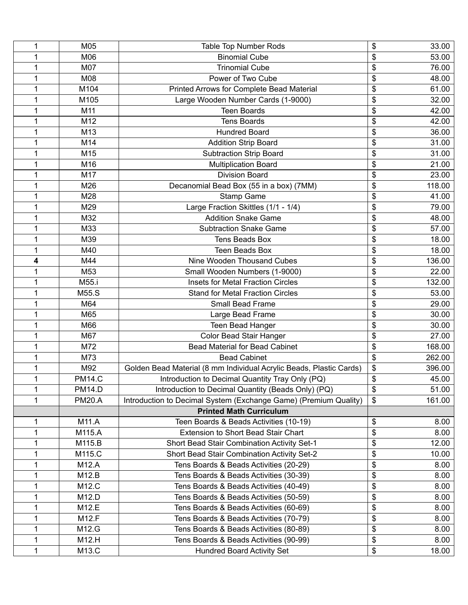| <b>Binomial Cube</b><br>M06<br>53.00<br>\$<br>\$<br>M07<br><b>Trinomial Cube</b><br>76.00<br>Power of Two Cube<br>\$<br>1<br>M08<br>48.00<br>Printed Arrows for Complete Bead Material<br>61.00<br>1<br>M104<br>\$<br>\$<br>1<br>M105<br>Large Wooden Number Cards (1-9000)<br>32.00<br>\$<br>1<br>M11<br><b>Teen Boards</b><br>42.00<br>M12<br><b>Tens Boards</b><br>\$<br>42.00<br>1<br>\$<br>M13<br><b>Hundred Board</b><br>36.00<br>M14<br><b>Addition Strip Board</b><br>\$<br>31.00<br>\$<br>1<br>M15<br><b>Subtraction Strip Board</b><br>31.00<br>\$<br><b>Multiplication Board</b><br>M16<br>21.00<br>M17<br><b>Division Board</b><br>23.00<br>\$<br>Decanomial Bead Box (55 in a box) (7MM)<br>\$<br>118.00<br>M26<br>1<br>\$<br>M28<br>Stamp Game<br>41.00<br>M29<br>Large Fraction Skittles (1/1 - 1/4)<br>79.00<br>1<br>\$<br><b>Addition Snake Game</b><br>\$<br>48.00<br>1<br>M32<br>\$<br>1<br>M33<br><b>Subtraction Snake Game</b><br>57.00<br>1<br>M39<br>\$<br>18.00<br>Tens Beads Box<br><b>Teen Beads Box</b><br>\$<br>18.00<br>M40<br>1<br>\$<br>4<br>Nine Wooden Thousand Cubes<br>136.00<br>M44<br>\$<br>22.00<br>1<br>M53<br>Small Wooden Numbers (1-9000)<br><b>Insets for Metal Fraction Circles</b><br>\$<br>132.00<br>1<br>M55.i<br>M55.S<br><b>Stand for Metal Fraction Circles</b><br>\$<br>1<br>53.00<br>\$<br>M64<br>Small Bead Frame<br>29.00<br>\$<br>30.00<br>M65<br>Large Bead Frame<br>1<br>\$<br>30.00<br>M66<br>Teen Bead Hanger<br><b>Color Bead Stair Hanger</b><br>\$<br>M67<br>27.00<br><b>Bead Material for Bead Cabinet</b><br>\$<br>1<br>M72<br>168.00<br>\$<br>262.00<br>M73<br><b>Bead Cabinet</b><br>1<br>Golden Bead Material (8 mm Individual Acrylic Beads, Plastic Cards)<br>\$<br>396.00<br>M92<br><b>PM14.C</b><br>Introduction to Decimal Quantity Tray Only (PQ)<br>\$<br>45.00<br>1<br><b>PM14.D</b><br>Introduction to Decimal Quantity (Beads Only) (PQ)<br>\$<br>51.00<br>1<br>1<br><b>PM20.A</b><br>Introduction to Decimal System (Exchange Game) (Premium Quality)<br>\$<br>161.00<br><b>Printed Math Curriculum</b><br>\$<br>M11.A<br>Teen Boards & Beads Activities (10-19)<br>8.00<br>1<br>\$<br>1<br>M115.A<br><b>Extension to Short Bead Stair Chart</b><br>8.00<br>M115.B<br>\$<br>12.00<br>1<br>Short Bead Stair Combination Activity Set-1<br>M115.C<br>\$<br>Short Bead Stair Combination Activity Set-2<br>10.00<br>1<br>M12.A<br>\$<br>1<br>Tens Boards & Beads Activities (20-29)<br>8.00<br>\$<br>M12.B<br>Tens Boards & Beads Activities (30-39)<br>8.00<br>M12.C<br>\$<br>Tens Boards & Beads Activities (40-49)<br>8.00<br>1<br>M12.D<br>1<br>Tens Boards & Beads Activities (50-59)<br>\$<br>8.00<br>\$<br>1<br>M12.E<br>Tens Boards & Beads Activities (60-69)<br>8.00<br>\$<br>1<br>M12.F<br>Tens Boards & Beads Activities (70-79)<br>8.00<br>M12.G<br>Tens Boards & Beads Activities (80-89)<br>\$<br>8.00<br>1<br>1<br>M12.H<br>\$<br>Tens Boards & Beads Activities (90-99)<br>8.00<br>$\mathbf{1}$<br>M13.C<br>Hundred Board Activity Set<br>\$<br>18.00 | 1 | M05 | <b>Table Top Number Rods</b> | \$<br>33.00 |
|---------------------------------------------------------------------------------------------------------------------------------------------------------------------------------------------------------------------------------------------------------------------------------------------------------------------------------------------------------------------------------------------------------------------------------------------------------------------------------------------------------------------------------------------------------------------------------------------------------------------------------------------------------------------------------------------------------------------------------------------------------------------------------------------------------------------------------------------------------------------------------------------------------------------------------------------------------------------------------------------------------------------------------------------------------------------------------------------------------------------------------------------------------------------------------------------------------------------------------------------------------------------------------------------------------------------------------------------------------------------------------------------------------------------------------------------------------------------------------------------------------------------------------------------------------------------------------------------------------------------------------------------------------------------------------------------------------------------------------------------------------------------------------------------------------------------------------------------------------------------------------------------------------------------------------------------------------------------------------------------------------------------------------------------------------------------------------------------------------------------------------------------------------------------------------------------------------------------------------------------------------------------------------------------------------------------------------------------------------------------------------------------------------------------------------------------------------------------------------------------------------------------------------------------------------------------------------------------------------------------------------------------------------------------------------------------------------------------------------------------------------------------------------------------------------------------------------------------------------------------------------------------------------------------------------------------------------------------------------------------------------------------------------------------------|---|-----|------------------------------|-------------|
|                                                                                                                                                                                                                                                                                                                                                                                                                                                                                                                                                                                                                                                                                                                                                                                                                                                                                                                                                                                                                                                                                                                                                                                                                                                                                                                                                                                                                                                                                                                                                                                                                                                                                                                                                                                                                                                                                                                                                                                                                                                                                                                                                                                                                                                                                                                                                                                                                                                                                                                                                                                                                                                                                                                                                                                                                                                                                                                                                                                                                                                   |   |     |                              |             |
|                                                                                                                                                                                                                                                                                                                                                                                                                                                                                                                                                                                                                                                                                                                                                                                                                                                                                                                                                                                                                                                                                                                                                                                                                                                                                                                                                                                                                                                                                                                                                                                                                                                                                                                                                                                                                                                                                                                                                                                                                                                                                                                                                                                                                                                                                                                                                                                                                                                                                                                                                                                                                                                                                                                                                                                                                                                                                                                                                                                                                                                   |   |     |                              |             |
|                                                                                                                                                                                                                                                                                                                                                                                                                                                                                                                                                                                                                                                                                                                                                                                                                                                                                                                                                                                                                                                                                                                                                                                                                                                                                                                                                                                                                                                                                                                                                                                                                                                                                                                                                                                                                                                                                                                                                                                                                                                                                                                                                                                                                                                                                                                                                                                                                                                                                                                                                                                                                                                                                                                                                                                                                                                                                                                                                                                                                                                   |   |     |                              |             |
|                                                                                                                                                                                                                                                                                                                                                                                                                                                                                                                                                                                                                                                                                                                                                                                                                                                                                                                                                                                                                                                                                                                                                                                                                                                                                                                                                                                                                                                                                                                                                                                                                                                                                                                                                                                                                                                                                                                                                                                                                                                                                                                                                                                                                                                                                                                                                                                                                                                                                                                                                                                                                                                                                                                                                                                                                                                                                                                                                                                                                                                   |   |     |                              |             |
|                                                                                                                                                                                                                                                                                                                                                                                                                                                                                                                                                                                                                                                                                                                                                                                                                                                                                                                                                                                                                                                                                                                                                                                                                                                                                                                                                                                                                                                                                                                                                                                                                                                                                                                                                                                                                                                                                                                                                                                                                                                                                                                                                                                                                                                                                                                                                                                                                                                                                                                                                                                                                                                                                                                                                                                                                                                                                                                                                                                                                                                   |   |     |                              |             |
|                                                                                                                                                                                                                                                                                                                                                                                                                                                                                                                                                                                                                                                                                                                                                                                                                                                                                                                                                                                                                                                                                                                                                                                                                                                                                                                                                                                                                                                                                                                                                                                                                                                                                                                                                                                                                                                                                                                                                                                                                                                                                                                                                                                                                                                                                                                                                                                                                                                                                                                                                                                                                                                                                                                                                                                                                                                                                                                                                                                                                                                   |   |     |                              |             |
|                                                                                                                                                                                                                                                                                                                                                                                                                                                                                                                                                                                                                                                                                                                                                                                                                                                                                                                                                                                                                                                                                                                                                                                                                                                                                                                                                                                                                                                                                                                                                                                                                                                                                                                                                                                                                                                                                                                                                                                                                                                                                                                                                                                                                                                                                                                                                                                                                                                                                                                                                                                                                                                                                                                                                                                                                                                                                                                                                                                                                                                   |   |     |                              |             |
|                                                                                                                                                                                                                                                                                                                                                                                                                                                                                                                                                                                                                                                                                                                                                                                                                                                                                                                                                                                                                                                                                                                                                                                                                                                                                                                                                                                                                                                                                                                                                                                                                                                                                                                                                                                                                                                                                                                                                                                                                                                                                                                                                                                                                                                                                                                                                                                                                                                                                                                                                                                                                                                                                                                                                                                                                                                                                                                                                                                                                                                   |   |     |                              |             |
|                                                                                                                                                                                                                                                                                                                                                                                                                                                                                                                                                                                                                                                                                                                                                                                                                                                                                                                                                                                                                                                                                                                                                                                                                                                                                                                                                                                                                                                                                                                                                                                                                                                                                                                                                                                                                                                                                                                                                                                                                                                                                                                                                                                                                                                                                                                                                                                                                                                                                                                                                                                                                                                                                                                                                                                                                                                                                                                                                                                                                                                   |   |     |                              |             |
|                                                                                                                                                                                                                                                                                                                                                                                                                                                                                                                                                                                                                                                                                                                                                                                                                                                                                                                                                                                                                                                                                                                                                                                                                                                                                                                                                                                                                                                                                                                                                                                                                                                                                                                                                                                                                                                                                                                                                                                                                                                                                                                                                                                                                                                                                                                                                                                                                                                                                                                                                                                                                                                                                                                                                                                                                                                                                                                                                                                                                                                   |   |     |                              |             |
|                                                                                                                                                                                                                                                                                                                                                                                                                                                                                                                                                                                                                                                                                                                                                                                                                                                                                                                                                                                                                                                                                                                                                                                                                                                                                                                                                                                                                                                                                                                                                                                                                                                                                                                                                                                                                                                                                                                                                                                                                                                                                                                                                                                                                                                                                                                                                                                                                                                                                                                                                                                                                                                                                                                                                                                                                                                                                                                                                                                                                                                   |   |     |                              |             |
|                                                                                                                                                                                                                                                                                                                                                                                                                                                                                                                                                                                                                                                                                                                                                                                                                                                                                                                                                                                                                                                                                                                                                                                                                                                                                                                                                                                                                                                                                                                                                                                                                                                                                                                                                                                                                                                                                                                                                                                                                                                                                                                                                                                                                                                                                                                                                                                                                                                                                                                                                                                                                                                                                                                                                                                                                                                                                                                                                                                                                                                   |   |     |                              |             |
|                                                                                                                                                                                                                                                                                                                                                                                                                                                                                                                                                                                                                                                                                                                                                                                                                                                                                                                                                                                                                                                                                                                                                                                                                                                                                                                                                                                                                                                                                                                                                                                                                                                                                                                                                                                                                                                                                                                                                                                                                                                                                                                                                                                                                                                                                                                                                                                                                                                                                                                                                                                                                                                                                                                                                                                                                                                                                                                                                                                                                                                   |   |     |                              |             |
|                                                                                                                                                                                                                                                                                                                                                                                                                                                                                                                                                                                                                                                                                                                                                                                                                                                                                                                                                                                                                                                                                                                                                                                                                                                                                                                                                                                                                                                                                                                                                                                                                                                                                                                                                                                                                                                                                                                                                                                                                                                                                                                                                                                                                                                                                                                                                                                                                                                                                                                                                                                                                                                                                                                                                                                                                                                                                                                                                                                                                                                   |   |     |                              |             |
|                                                                                                                                                                                                                                                                                                                                                                                                                                                                                                                                                                                                                                                                                                                                                                                                                                                                                                                                                                                                                                                                                                                                                                                                                                                                                                                                                                                                                                                                                                                                                                                                                                                                                                                                                                                                                                                                                                                                                                                                                                                                                                                                                                                                                                                                                                                                                                                                                                                                                                                                                                                                                                                                                                                                                                                                                                                                                                                                                                                                                                                   |   |     |                              |             |
|                                                                                                                                                                                                                                                                                                                                                                                                                                                                                                                                                                                                                                                                                                                                                                                                                                                                                                                                                                                                                                                                                                                                                                                                                                                                                                                                                                                                                                                                                                                                                                                                                                                                                                                                                                                                                                                                                                                                                                                                                                                                                                                                                                                                                                                                                                                                                                                                                                                                                                                                                                                                                                                                                                                                                                                                                                                                                                                                                                                                                                                   |   |     |                              |             |
|                                                                                                                                                                                                                                                                                                                                                                                                                                                                                                                                                                                                                                                                                                                                                                                                                                                                                                                                                                                                                                                                                                                                                                                                                                                                                                                                                                                                                                                                                                                                                                                                                                                                                                                                                                                                                                                                                                                                                                                                                                                                                                                                                                                                                                                                                                                                                                                                                                                                                                                                                                                                                                                                                                                                                                                                                                                                                                                                                                                                                                                   |   |     |                              |             |
|                                                                                                                                                                                                                                                                                                                                                                                                                                                                                                                                                                                                                                                                                                                                                                                                                                                                                                                                                                                                                                                                                                                                                                                                                                                                                                                                                                                                                                                                                                                                                                                                                                                                                                                                                                                                                                                                                                                                                                                                                                                                                                                                                                                                                                                                                                                                                                                                                                                                                                                                                                                                                                                                                                                                                                                                                                                                                                                                                                                                                                                   |   |     |                              |             |
|                                                                                                                                                                                                                                                                                                                                                                                                                                                                                                                                                                                                                                                                                                                                                                                                                                                                                                                                                                                                                                                                                                                                                                                                                                                                                                                                                                                                                                                                                                                                                                                                                                                                                                                                                                                                                                                                                                                                                                                                                                                                                                                                                                                                                                                                                                                                                                                                                                                                                                                                                                                                                                                                                                                                                                                                                                                                                                                                                                                                                                                   |   |     |                              |             |
|                                                                                                                                                                                                                                                                                                                                                                                                                                                                                                                                                                                                                                                                                                                                                                                                                                                                                                                                                                                                                                                                                                                                                                                                                                                                                                                                                                                                                                                                                                                                                                                                                                                                                                                                                                                                                                                                                                                                                                                                                                                                                                                                                                                                                                                                                                                                                                                                                                                                                                                                                                                                                                                                                                                                                                                                                                                                                                                                                                                                                                                   |   |     |                              |             |
|                                                                                                                                                                                                                                                                                                                                                                                                                                                                                                                                                                                                                                                                                                                                                                                                                                                                                                                                                                                                                                                                                                                                                                                                                                                                                                                                                                                                                                                                                                                                                                                                                                                                                                                                                                                                                                                                                                                                                                                                                                                                                                                                                                                                                                                                                                                                                                                                                                                                                                                                                                                                                                                                                                                                                                                                                                                                                                                                                                                                                                                   |   |     |                              |             |
|                                                                                                                                                                                                                                                                                                                                                                                                                                                                                                                                                                                                                                                                                                                                                                                                                                                                                                                                                                                                                                                                                                                                                                                                                                                                                                                                                                                                                                                                                                                                                                                                                                                                                                                                                                                                                                                                                                                                                                                                                                                                                                                                                                                                                                                                                                                                                                                                                                                                                                                                                                                                                                                                                                                                                                                                                                                                                                                                                                                                                                                   |   |     |                              |             |
|                                                                                                                                                                                                                                                                                                                                                                                                                                                                                                                                                                                                                                                                                                                                                                                                                                                                                                                                                                                                                                                                                                                                                                                                                                                                                                                                                                                                                                                                                                                                                                                                                                                                                                                                                                                                                                                                                                                                                                                                                                                                                                                                                                                                                                                                                                                                                                                                                                                                                                                                                                                                                                                                                                                                                                                                                                                                                                                                                                                                                                                   |   |     |                              |             |
|                                                                                                                                                                                                                                                                                                                                                                                                                                                                                                                                                                                                                                                                                                                                                                                                                                                                                                                                                                                                                                                                                                                                                                                                                                                                                                                                                                                                                                                                                                                                                                                                                                                                                                                                                                                                                                                                                                                                                                                                                                                                                                                                                                                                                                                                                                                                                                                                                                                                                                                                                                                                                                                                                                                                                                                                                                                                                                                                                                                                                                                   |   |     |                              |             |
|                                                                                                                                                                                                                                                                                                                                                                                                                                                                                                                                                                                                                                                                                                                                                                                                                                                                                                                                                                                                                                                                                                                                                                                                                                                                                                                                                                                                                                                                                                                                                                                                                                                                                                                                                                                                                                                                                                                                                                                                                                                                                                                                                                                                                                                                                                                                                                                                                                                                                                                                                                                                                                                                                                                                                                                                                                                                                                                                                                                                                                                   |   |     |                              |             |
|                                                                                                                                                                                                                                                                                                                                                                                                                                                                                                                                                                                                                                                                                                                                                                                                                                                                                                                                                                                                                                                                                                                                                                                                                                                                                                                                                                                                                                                                                                                                                                                                                                                                                                                                                                                                                                                                                                                                                                                                                                                                                                                                                                                                                                                                                                                                                                                                                                                                                                                                                                                                                                                                                                                                                                                                                                                                                                                                                                                                                                                   |   |     |                              |             |
|                                                                                                                                                                                                                                                                                                                                                                                                                                                                                                                                                                                                                                                                                                                                                                                                                                                                                                                                                                                                                                                                                                                                                                                                                                                                                                                                                                                                                                                                                                                                                                                                                                                                                                                                                                                                                                                                                                                                                                                                                                                                                                                                                                                                                                                                                                                                                                                                                                                                                                                                                                                                                                                                                                                                                                                                                                                                                                                                                                                                                                                   |   |     |                              |             |
|                                                                                                                                                                                                                                                                                                                                                                                                                                                                                                                                                                                                                                                                                                                                                                                                                                                                                                                                                                                                                                                                                                                                                                                                                                                                                                                                                                                                                                                                                                                                                                                                                                                                                                                                                                                                                                                                                                                                                                                                                                                                                                                                                                                                                                                                                                                                                                                                                                                                                                                                                                                                                                                                                                                                                                                                                                                                                                                                                                                                                                                   |   |     |                              |             |
|                                                                                                                                                                                                                                                                                                                                                                                                                                                                                                                                                                                                                                                                                                                                                                                                                                                                                                                                                                                                                                                                                                                                                                                                                                                                                                                                                                                                                                                                                                                                                                                                                                                                                                                                                                                                                                                                                                                                                                                                                                                                                                                                                                                                                                                                                                                                                                                                                                                                                                                                                                                                                                                                                                                                                                                                                                                                                                                                                                                                                                                   |   |     |                              |             |
|                                                                                                                                                                                                                                                                                                                                                                                                                                                                                                                                                                                                                                                                                                                                                                                                                                                                                                                                                                                                                                                                                                                                                                                                                                                                                                                                                                                                                                                                                                                                                                                                                                                                                                                                                                                                                                                                                                                                                                                                                                                                                                                                                                                                                                                                                                                                                                                                                                                                                                                                                                                                                                                                                                                                                                                                                                                                                                                                                                                                                                                   |   |     |                              |             |
|                                                                                                                                                                                                                                                                                                                                                                                                                                                                                                                                                                                                                                                                                                                                                                                                                                                                                                                                                                                                                                                                                                                                                                                                                                                                                                                                                                                                                                                                                                                                                                                                                                                                                                                                                                                                                                                                                                                                                                                                                                                                                                                                                                                                                                                                                                                                                                                                                                                                                                                                                                                                                                                                                                                                                                                                                                                                                                                                                                                                                                                   |   |     |                              |             |
|                                                                                                                                                                                                                                                                                                                                                                                                                                                                                                                                                                                                                                                                                                                                                                                                                                                                                                                                                                                                                                                                                                                                                                                                                                                                                                                                                                                                                                                                                                                                                                                                                                                                                                                                                                                                                                                                                                                                                                                                                                                                                                                                                                                                                                                                                                                                                                                                                                                                                                                                                                                                                                                                                                                                                                                                                                                                                                                                                                                                                                                   |   |     |                              |             |
|                                                                                                                                                                                                                                                                                                                                                                                                                                                                                                                                                                                                                                                                                                                                                                                                                                                                                                                                                                                                                                                                                                                                                                                                                                                                                                                                                                                                                                                                                                                                                                                                                                                                                                                                                                                                                                                                                                                                                                                                                                                                                                                                                                                                                                                                                                                                                                                                                                                                                                                                                                                                                                                                                                                                                                                                                                                                                                                                                                                                                                                   |   |     |                              |             |
|                                                                                                                                                                                                                                                                                                                                                                                                                                                                                                                                                                                                                                                                                                                                                                                                                                                                                                                                                                                                                                                                                                                                                                                                                                                                                                                                                                                                                                                                                                                                                                                                                                                                                                                                                                                                                                                                                                                                                                                                                                                                                                                                                                                                                                                                                                                                                                                                                                                                                                                                                                                                                                                                                                                                                                                                                                                                                                                                                                                                                                                   |   |     |                              |             |
|                                                                                                                                                                                                                                                                                                                                                                                                                                                                                                                                                                                                                                                                                                                                                                                                                                                                                                                                                                                                                                                                                                                                                                                                                                                                                                                                                                                                                                                                                                                                                                                                                                                                                                                                                                                                                                                                                                                                                                                                                                                                                                                                                                                                                                                                                                                                                                                                                                                                                                                                                                                                                                                                                                                                                                                                                                                                                                                                                                                                                                                   |   |     |                              |             |
|                                                                                                                                                                                                                                                                                                                                                                                                                                                                                                                                                                                                                                                                                                                                                                                                                                                                                                                                                                                                                                                                                                                                                                                                                                                                                                                                                                                                                                                                                                                                                                                                                                                                                                                                                                                                                                                                                                                                                                                                                                                                                                                                                                                                                                                                                                                                                                                                                                                                                                                                                                                                                                                                                                                                                                                                                                                                                                                                                                                                                                                   |   |     |                              |             |
|                                                                                                                                                                                                                                                                                                                                                                                                                                                                                                                                                                                                                                                                                                                                                                                                                                                                                                                                                                                                                                                                                                                                                                                                                                                                                                                                                                                                                                                                                                                                                                                                                                                                                                                                                                                                                                                                                                                                                                                                                                                                                                                                                                                                                                                                                                                                                                                                                                                                                                                                                                                                                                                                                                                                                                                                                                                                                                                                                                                                                                                   |   |     |                              |             |
|                                                                                                                                                                                                                                                                                                                                                                                                                                                                                                                                                                                                                                                                                                                                                                                                                                                                                                                                                                                                                                                                                                                                                                                                                                                                                                                                                                                                                                                                                                                                                                                                                                                                                                                                                                                                                                                                                                                                                                                                                                                                                                                                                                                                                                                                                                                                                                                                                                                                                                                                                                                                                                                                                                                                                                                                                                                                                                                                                                                                                                                   |   |     |                              |             |
|                                                                                                                                                                                                                                                                                                                                                                                                                                                                                                                                                                                                                                                                                                                                                                                                                                                                                                                                                                                                                                                                                                                                                                                                                                                                                                                                                                                                                                                                                                                                                                                                                                                                                                                                                                                                                                                                                                                                                                                                                                                                                                                                                                                                                                                                                                                                                                                                                                                                                                                                                                                                                                                                                                                                                                                                                                                                                                                                                                                                                                                   |   |     |                              |             |
|                                                                                                                                                                                                                                                                                                                                                                                                                                                                                                                                                                                                                                                                                                                                                                                                                                                                                                                                                                                                                                                                                                                                                                                                                                                                                                                                                                                                                                                                                                                                                                                                                                                                                                                                                                                                                                                                                                                                                                                                                                                                                                                                                                                                                                                                                                                                                                                                                                                                                                                                                                                                                                                                                                                                                                                                                                                                                                                                                                                                                                                   |   |     |                              |             |
|                                                                                                                                                                                                                                                                                                                                                                                                                                                                                                                                                                                                                                                                                                                                                                                                                                                                                                                                                                                                                                                                                                                                                                                                                                                                                                                                                                                                                                                                                                                                                                                                                                                                                                                                                                                                                                                                                                                                                                                                                                                                                                                                                                                                                                                                                                                                                                                                                                                                                                                                                                                                                                                                                                                                                                                                                                                                                                                                                                                                                                                   |   |     |                              |             |
|                                                                                                                                                                                                                                                                                                                                                                                                                                                                                                                                                                                                                                                                                                                                                                                                                                                                                                                                                                                                                                                                                                                                                                                                                                                                                                                                                                                                                                                                                                                                                                                                                                                                                                                                                                                                                                                                                                                                                                                                                                                                                                                                                                                                                                                                                                                                                                                                                                                                                                                                                                                                                                                                                                                                                                                                                                                                                                                                                                                                                                                   |   |     |                              |             |
|                                                                                                                                                                                                                                                                                                                                                                                                                                                                                                                                                                                                                                                                                                                                                                                                                                                                                                                                                                                                                                                                                                                                                                                                                                                                                                                                                                                                                                                                                                                                                                                                                                                                                                                                                                                                                                                                                                                                                                                                                                                                                                                                                                                                                                                                                                                                                                                                                                                                                                                                                                                                                                                                                                                                                                                                                                                                                                                                                                                                                                                   |   |     |                              |             |
|                                                                                                                                                                                                                                                                                                                                                                                                                                                                                                                                                                                                                                                                                                                                                                                                                                                                                                                                                                                                                                                                                                                                                                                                                                                                                                                                                                                                                                                                                                                                                                                                                                                                                                                                                                                                                                                                                                                                                                                                                                                                                                                                                                                                                                                                                                                                                                                                                                                                                                                                                                                                                                                                                                                                                                                                                                                                                                                                                                                                                                                   |   |     |                              |             |
|                                                                                                                                                                                                                                                                                                                                                                                                                                                                                                                                                                                                                                                                                                                                                                                                                                                                                                                                                                                                                                                                                                                                                                                                                                                                                                                                                                                                                                                                                                                                                                                                                                                                                                                                                                                                                                                                                                                                                                                                                                                                                                                                                                                                                                                                                                                                                                                                                                                                                                                                                                                                                                                                                                                                                                                                                                                                                                                                                                                                                                                   |   |     |                              |             |
|                                                                                                                                                                                                                                                                                                                                                                                                                                                                                                                                                                                                                                                                                                                                                                                                                                                                                                                                                                                                                                                                                                                                                                                                                                                                                                                                                                                                                                                                                                                                                                                                                                                                                                                                                                                                                                                                                                                                                                                                                                                                                                                                                                                                                                                                                                                                                                                                                                                                                                                                                                                                                                                                                                                                                                                                                                                                                                                                                                                                                                                   |   |     |                              |             |
|                                                                                                                                                                                                                                                                                                                                                                                                                                                                                                                                                                                                                                                                                                                                                                                                                                                                                                                                                                                                                                                                                                                                                                                                                                                                                                                                                                                                                                                                                                                                                                                                                                                                                                                                                                                                                                                                                                                                                                                                                                                                                                                                                                                                                                                                                                                                                                                                                                                                                                                                                                                                                                                                                                                                                                                                                                                                                                                                                                                                                                                   |   |     |                              |             |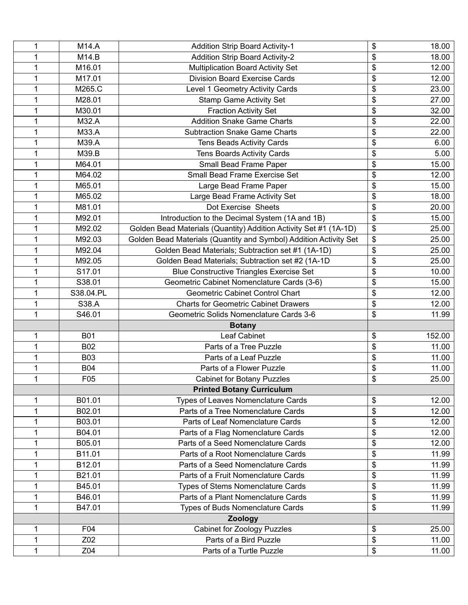| 1            | M14.A      | <b>Addition Strip Board Activity-1</b>                            | \$<br>18.00  |
|--------------|------------|-------------------------------------------------------------------|--------------|
| 1            | M14.B      | <b>Addition Strip Board Activity-2</b>                            | \$<br>18.00  |
| 1            | M16.01     | <b>Multiplication Board Activity Set</b>                          | \$<br>12.00  |
| 1            | M17.01     | <b>Division Board Exercise Cards</b>                              | \$<br>12.00  |
| 1            | M265.C     | Level 1 Geometry Activity Cards                                   | \$<br>23.00  |
| 1            | M28.01     | <b>Stamp Game Activity Set</b>                                    | \$<br>27.00  |
| 1            | M30.01     | <b>Fraction Activity Set</b>                                      | \$<br>32.00  |
| 1            | M32.A      | <b>Addition Snake Game Charts</b>                                 | \$<br>22.00  |
| 1            | M33.A      | <b>Subtraction Snake Game Charts</b>                              | \$<br>22.00  |
| 1            | M39.A      | <b>Tens Beads Activity Cards</b>                                  | \$<br>6.00   |
| 1            | M39.B      | Tens Boards Activity Cards                                        | \$<br>5.00   |
| 1            | M64.01     | Small Bead Frame Paper                                            | \$<br>15.00  |
| 1            | M64.02     | Small Bead Frame Exercise Set                                     | \$<br>12.00  |
| 1            | M65.01     | Large Bead Frame Paper                                            | \$<br>15.00  |
| 1            | M65.02     | Large Bead Frame Activity Set                                     | \$<br>18.00  |
| 1            | M81.01     | Dot Exercise Sheets                                               | \$<br>20.00  |
| 1            | M92.01     | Introduction to the Decimal System (1A and 1B)                    | \$<br>15.00  |
| 1            | M92.02     | Golden Bead Materials (Quantity) Addition Activity Set #1 (1A-1D) | \$<br>25.00  |
| 1            | M92.03     | Golden Bead Materials (Quantity and Symbol) Addition Activity Set | \$<br>25.00  |
| 1            | M92.04     | Golden Bead Materials; Subtraction set #1 (1A-1D)                 | \$<br>25.00  |
| 1            | M92.05     | Golden Bead Materials; Subtraction set #2 (1A-1D                  | \$<br>25.00  |
| 1            | S17.01     | <b>Blue Constructive Triangles Exercise Set</b>                   | \$<br>10.00  |
| 1            | S38.01     | Geometric Cabinet Nomenclature Cards (3-6)                        | \$<br>15.00  |
| $\mathbf{1}$ | S38.04.PL  | Geometric Cabinet Control Chart                                   | \$<br>12.00  |
| 1            | S38.A      | <b>Charts for Geometric Cabinet Drawers</b>                       | \$<br>12.00  |
| 1            | S46.01     | Geometric Solids Nomenclature Cards 3-6                           | \$<br>11.99  |
|              |            | <b>Botany</b>                                                     |              |
| 1            | <b>B01</b> | Leaf Cabinet                                                      | \$<br>152.00 |
| 1            | <b>B02</b> | Parts of a Tree Puzzle                                            | \$<br>11.00  |
| 1            | <b>B03</b> | Parts of a Leaf Puzzle                                            | \$<br>11.00  |
| 1            | <b>B04</b> | Parts of a Flower Puzzle                                          | \$<br>11.00  |
| 1            | F05        | <b>Cabinet for Botany Puzzles</b>                                 | \$<br>25.00  |
|              |            | <b>Printed Botany Curriculum</b>                                  |              |
| 1            | B01.01     | Types of Leaves Nomenclature Cards                                | \$<br>12.00  |
| 1            | B02.01     | Parts of a Tree Nomenclature Cards                                | \$<br>12.00  |
| 1            | B03.01     | Parts of Leaf Nomenclature Cards                                  | \$<br>12.00  |
| 1            | B04.01     | Parts of a Flag Nomenclature Cards                                | \$<br>12.00  |
| 1            | B05.01     | Parts of a Seed Nomenclature Cards                                | \$<br>12.00  |
| 1            | B11.01     | Parts of a Root Nomenclature Cards                                | \$<br>11.99  |
| 1            | B12.01     | Parts of a Seed Nomenclature Cards                                | \$<br>11.99  |
| 1            | B21.01     | Parts of a Fruit Nomenclature Cards                               | \$<br>11.99  |
| 1            | B45.01     | Types of Stems Nomenclature Cards                                 | \$<br>11.99  |
| 1            | B46.01     | Parts of a Plant Nomenclature Cards                               | \$<br>11.99  |
| 1            | B47.01     | Types of Buds Nomenclature Cards                                  | \$<br>11.99  |
|              |            | Zoology                                                           |              |
| 1            | F04        | <b>Cabinet for Zoology Puzzles</b>                                | \$<br>25.00  |
| 1            | Z02        | Parts of a Bird Puzzle                                            | \$<br>11.00  |
| 1            | Z04        | Parts of a Turtle Puzzle                                          | \$<br>11.00  |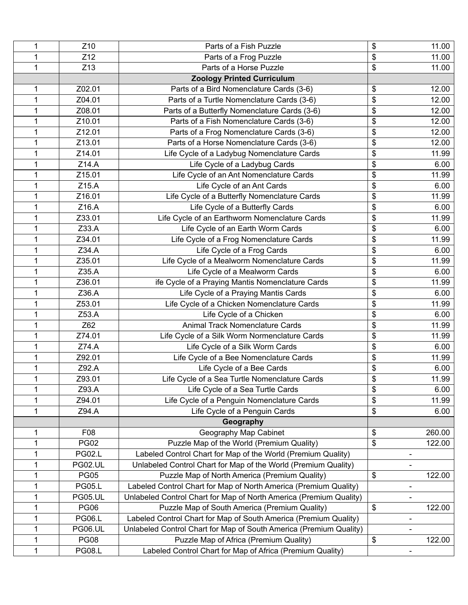| 1 | Z10            | Parts of a Fish Puzzle                                             | \$<br>11.00                  |
|---|----------------|--------------------------------------------------------------------|------------------------------|
| 1 | Z12            | Parts of a Frog Puzzle                                             | \$<br>11.00                  |
| 1 | Z13            | Parts of a Horse Puzzle                                            | \$<br>11.00                  |
|   |                | <b>Zoology Printed Curriculum</b>                                  |                              |
| 1 | Z02.01         | Parts of a Bird Nomenclature Cards (3-6)                           | \$<br>12.00                  |
| 1 | Z04.01         | Parts of a Turtle Nomenclature Cards (3-6)                         | \$<br>12.00                  |
| 1 | Z08.01         | Parts of a Butterfly Nomenclature Cards (3-6)                      | \$<br>12.00                  |
| 1 | Z10.01         | Parts of a Fish Nomenclature Cards (3-6)                           | \$<br>12.00                  |
| 1 | Z12.01         | Parts of a Frog Nomenclature Cards (3-6)                           | \$<br>12.00                  |
| 1 | Z13.01         | Parts of a Horse Nomenclature Cards (3-6)                          | \$<br>12.00                  |
| 1 | Z14.01         | Life Cycle of a Ladybug Nomenclature Cards                         | \$<br>11.99                  |
| 1 | Z14.A          | Life Cycle of a Ladybug Cards                                      | \$<br>6.00                   |
| 1 | Z15.01         | Life Cycle of an Ant Nomenclature Cards                            | \$<br>11.99                  |
| 1 | Z15.A          | Life Cycle of an Ant Cards                                         | \$<br>6.00                   |
| 1 | Z16.01         | Life Cycle of a Butterfly Nomenclature Cards                       | \$<br>11.99                  |
| 1 | Z16.A          | Life Cycle of a Butterfly Cards                                    | \$<br>6.00                   |
| 1 | Z33.01         | Life Cycle of an Earthworm Nomenclature Cards                      | \$<br>11.99                  |
| 1 | Z33.A          | Life Cycle of an Earth Worm Cards                                  | \$<br>6.00                   |
| 1 | Z34.01         | Life Cycle of a Frog Nomenclature Cards                            | \$<br>11.99                  |
| 1 | Z34.A          | Life Cycle of a Frog Cards                                         | \$<br>6.00                   |
| 1 | Z35.01         | Life Cycle of a Mealworm Nomenclature Cards                        | \$<br>11.99                  |
| 1 | Z35.A          | Life Cycle of a Mealworm Cards                                     | \$<br>6.00                   |
| 1 | Z36.01         | ife Cycle of a Praying Mantis Nomenclature Cards                   | \$<br>11.99                  |
| 1 | Z36.A          | Life Cycle of a Praying Mantis Cards                               | \$<br>6.00                   |
| 1 | Z53.01         | Life Cycle of a Chicken Nomenclature Cards                         | \$<br>11.99                  |
| 1 | Z53.A          | Life Cycle of a Chicken                                            | \$<br>6.00                   |
| 1 | Z62            | Animal Track Nomenclature Cards                                    | \$<br>11.99                  |
| 1 | Z74.01         | Life Cycle of a Silk Worm Normenclature Cards                      | \$<br>11.99                  |
| 1 | Z74.A          | Life Cycle of a Silk Worm Cards                                    | \$<br>6.00                   |
| 1 | Z92.01         | Life Cycle of a Bee Nomenclature Cards                             | \$<br>11.99                  |
| 1 | Z92.A          | Life Cycle of a Bee Cards                                          | \$<br>6.00                   |
| 1 | Z93.01         | Life Cycle of a Sea Turtle Nomenclature Cards                      | \$<br>11.99                  |
| 1 | Z93.A          | Life Cycle of a Sea Turtle Cards                                   | \$<br>6.00                   |
| 1 | Z94.01         | Life Cycle of a Penguin Nomenclature Cards                         | \$<br>11.99                  |
| 1 | Z94.A          | Life Cycle of a Penguin Cards                                      | \$<br>6.00                   |
|   |                | Geography                                                          |                              |
| 1 | F08            | Geography Map Cabinet                                              | \$<br>260.00                 |
| 1 | <b>PG02</b>    | Puzzle Map of the World (Premium Quality)                          | \$<br>122.00                 |
| 1 | <b>PG02.L</b>  | Labeled Control Chart for Map of the World (Premium Quality)       | $\overline{\phantom{a}}$     |
| 1 | <b>PG02.UL</b> | Unlabeled Control Chart for Map of the World (Premium Quality)     |                              |
| 1 | <b>PG05</b>    | Puzzle Map of North America (Premium Quality)                      | \$<br>122.00                 |
| 1 | <b>PG05.L</b>  | Labeled Control Chart for Map of North America (Premium Quality)   | $\qquad \qquad -$            |
| 1 | <b>PG05.UL</b> | Unlabeled Control Chart for Map of North America (Premium Quality) |                              |
| 1 | <b>PG06</b>    | Puzzle Map of South America (Premium Quality)                      | \$<br>122.00                 |
| 1 | <b>PG06.L</b>  | Labeled Control Chart for Map of South America (Premium Quality)   | $\overline{a}$               |
| 1 | <b>PG06.UL</b> | Unlabeled Control Chart for Map of South America (Premium Quality) | $\qquad \qquad \blacksquare$ |
| 1 | <b>PG08</b>    | Puzzle Map of Africa (Premium Quality)                             | \$<br>122.00                 |
| 1 | <b>PG08.L</b>  | Labeled Control Chart for Map of Africa (Premium Quality)          | $\overline{\phantom{0}}$     |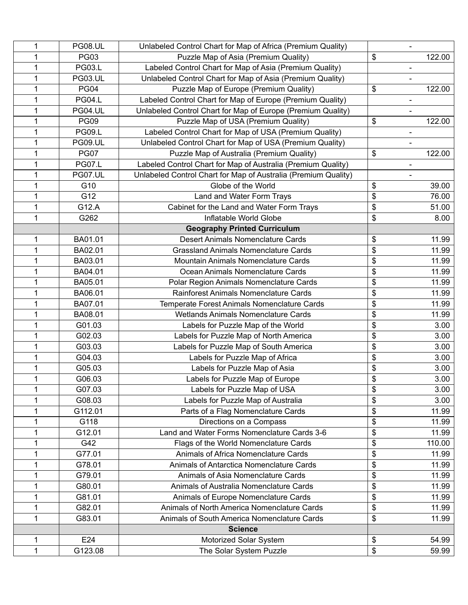| 1 | <b>PG08.UL</b> | Unlabeled Control Chart for Map of Africa (Premium Quality)    |                | $\qquad \qquad -$            |
|---|----------------|----------------------------------------------------------------|----------------|------------------------------|
| 1 | <b>PG03</b>    | Puzzle Map of Asia (Premium Quality)                           | \$             | 122.00                       |
| 1 | <b>PG03.L</b>  | Labeled Control Chart for Map of Asia (Premium Quality)        |                |                              |
| 1 | <b>PG03.UL</b> | Unlabeled Control Chart for Map of Asia (Premium Quality)      |                | $\overline{\phantom{a}}$     |
| 1 | <b>PG04</b>    | Puzzle Map of Europe (Premium Quality)                         | \$             | 122.00                       |
| 1 | <b>PG04.L</b>  | Labeled Control Chart for Map of Europe (Premium Quality)      |                | $\overline{\phantom{0}}$     |
| 1 | PG04.UL        | Unlabeled Control Chart for Map of Europe (Premium Quality)    |                | $\qquad \qquad \blacksquare$ |
| 1 | <b>PG09</b>    | Puzzle Map of USA (Premium Quality)                            | $\mathfrak{S}$ | 122.00                       |
| 1 | <b>PG09.L</b>  | Labeled Control Chart for Map of USA (Premium Quality)         |                |                              |
| 1 | <b>PG09.UL</b> | Unlabeled Control Chart for Map of USA (Premium Quality)       |                | $\overline{a}$               |
| 1 | <b>PG07</b>    | Puzzle Map of Australia (Premium Quality)                      | $\$\$          | 122.00                       |
| 1 | <b>PG07.L</b>  | Labeled Control Chart for Map of Australia (Premium Quality)   |                |                              |
| 1 | PG07.UL        | Unlabeled Control Chart for Map of Australia (Premium Quality) |                | $\qquad \qquad \blacksquare$ |
| 1 | G10            | Globe of the World                                             | \$             | 39.00                        |
| 1 | G12            | Land and Water Form Trays                                      | \$             | 76.00                        |
| 1 | G12.A          | Cabinet for the Land and Water Form Trays                      | \$             | 51.00                        |
| 1 | G262           | Inflatable World Globe                                         | \$             | 8.00                         |
|   |                | <b>Geography Printed Curriculum</b>                            |                |                              |
| 1 | BA01.01        | <b>Desert Animals Nomenclature Cards</b>                       | \$             | 11.99                        |
| 1 | BA02.01        | <b>Grassland Animals Nomenclature Cards</b>                    | \$             | 11.99                        |
| 1 | BA03.01        | Mountain Animals Nomenclature Cards                            | \$             | 11.99                        |
| 1 | BA04.01        | Ocean Animals Nomenclature Cards                               | \$             | 11.99                        |
| 1 | BA05.01        | Polar Region Animals Nomenclature Cards                        | \$             | 11.99                        |
| 1 | BA06.01        | Rainforest Animals Nomenclature Cards                          | \$             | 11.99                        |
| 1 | BA07.01        | Temperate Forest Animals Nomenclature Cards                    | \$             | 11.99                        |
| 1 | BA08.01        | Wetlands Animals Nomenclature Cards                            | \$             | 11.99                        |
| 1 | G01.03         | Labels for Puzzle Map of the World                             | \$             | 3.00                         |
| 1 | G02.03         | Labels for Puzzle Map of North America                         | \$             | 3.00                         |
| 1 | G03.03         | Labels for Puzzle Map of South America                         | \$             | 3.00                         |
| 1 | G04.03         | Labels for Puzzle Map of Africa                                | \$             | 3.00                         |
| 1 | G05.03         | Labels for Puzzle Map of Asia                                  | \$             | 3.00                         |
| 1 | G06.03         | Labels for Puzzle Map of Europe                                | \$             | 3.00                         |
| 1 | G07.03         | Labels for Puzzle Map of USA                                   | \$             | 3.00                         |
| 1 | G08.03         | Labels for Puzzle Map of Australia                             | \$             | 3.00                         |
| 1 | G112.01        | Parts of a Flag Nomenclature Cards                             | \$             | 11.99                        |
| 1 | G118           | Directions on a Compass                                        | \$             | 11.99                        |
| 1 | G12.01         | Land and Water Forms Nomenclature Cards 3-6                    | \$             | 11.99                        |
| 1 | G42            | Flags of the World Nomenclature Cards                          | \$             | 110.00                       |
| 1 | G77.01         | Animals of Africa Nomenclature Cards                           | \$             | 11.99                        |
| 1 | G78.01         | Animals of Antarctica Nomenclature Cards                       | \$             | 11.99                        |
| 1 | G79.01         | Animals of Asia Nomenclature Cards                             | \$             | 11.99                        |
| 1 | G80.01         | Animals of Australia Nomenclature Cards                        | \$             | 11.99                        |
| 1 | G81.01         | Animals of Europe Nomenclature Cards                           | \$             | 11.99                        |
| 1 | G82.01         | Animals of North America Nomenclature Cards                    | \$             | 11.99                        |
| 1 | G83.01         | Animals of South America Nomenclature Cards                    | \$             | 11.99                        |
|   |                | <b>Science</b>                                                 |                |                              |
| 1 | E24            | Motorized Solar System                                         | \$             | 54.99                        |
| 1 | G123.08        | The Solar System Puzzle                                        | \$             | 59.99                        |